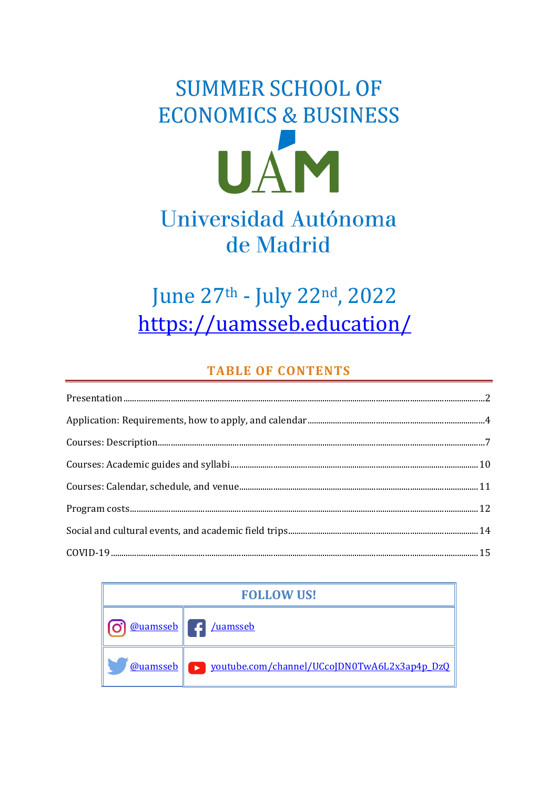# **SUMMER SCHOOL OF ECONOMICS & BUSINESS** UAM Universidad Autónoma de Madrid

# June 27th - July 22nd, 2022 https://uamsseb.education/

# **TABLE OF CONTENTS**

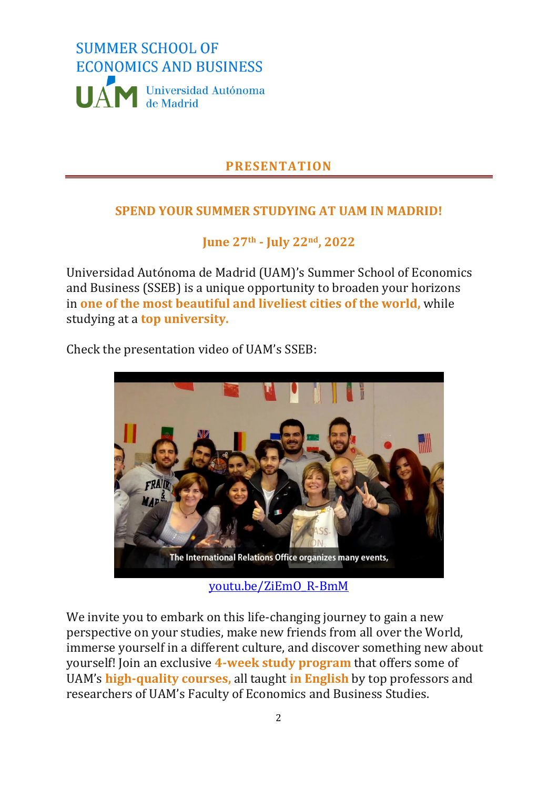

# **PRESENTATION**

# <span id="page-1-0"></span>**SPEND YOUR SUMMER STUDYING AT UAM IN MADRID!**

**June 27th - July 22nd, 2022**

Universidad Autónoma de Madrid (UAM)'s Summer School of Economics and Business (SSEB) is a unique opportunity to broaden your horizons in **one of the most beautiful and liveliest cities of the world,** while studying at a **top university.**

Check the presentation video of UAM's SSEB:



[youtu.be/ZiEmO\\_R-BmM](https://youtu.be/ZiEmO_R-BmM)

We invite you to embark on this life-changing journey to gain a new perspective on your studies, make new friends from all over the World, immerse yourself in a different culture, and discover something new about yourself! Join an exclusive **4-week study program** that offers some of UAM's **high-quality courses,** all taught **in English** by top professors and researchers of UAM's Faculty of Economics and Business Studies.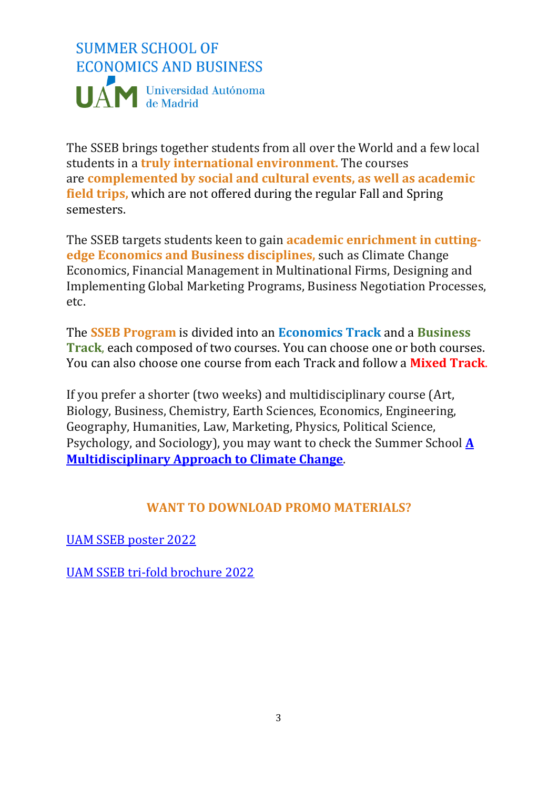# **SUMMER SCHOOL OF ECONOMICS AND BUSINESS** UAM Universidad Autónoma

The SSEB brings together students from all over the World and a few local students in a **truly international environment.** The courses are **complemented by social and cultural events, as well as academic field trips,** which are not offered during the regular Fall and Spring semesters.

The SSEB targets students keen to gain **academic enrichment in cuttingedge Economics and Business disciplines,** such as Climate Change Economics, Financial Management in Multinational Firms, Designing and Implementing Global Marketing Programs, Business Negotiation Processes, etc.

The **SSEB Program** is divided into an **Economics Track** and a **Business Track**, each composed of two courses. You can choose one or both courses. You can also choose one course from each Track and follow a **Mixed Track**.

If you prefer a shorter (two weeks) and multidisciplinary course (Art, Biology, Business, Chemistry, Earth Sciences, Economics, Engineering, Geography, Humanities, Law, Marketing, Physics, Political Science, Psychology, and Sociology), you may want to check the Summer School **[A](https://climate.enveco.es/)  [Multidisciplinary Approach to Climate Change](https://climate.enveco.es/)**.

### **WANT TO DOWNLOAD PROMO MATERIALS?**

[UAM SSEB poster 2022](https://uamsseb.files.wordpress.com/2021/10/uam-summer-school-of-economics-and-business-poster-2022-1.pdf)

[UAM SSEB tri-fold brochure 2022](https://uamsseb.files.wordpress.com/2021/10/uam-summer-school-of-economics-and-business-tri-fold-brochure-2022.pdf)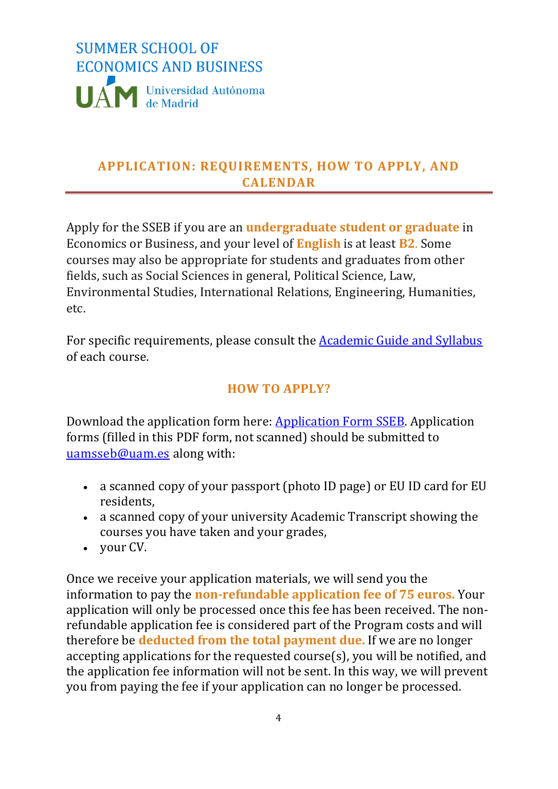

# <span id="page-3-0"></span>**APPLICATION: REQUIREMENTS, HOW TO APPLY, AND CALENDAR**

Apply for the SSEB if you are an **undergraduate student or graduate** in Economics or Business, and your level of **English** is at least **B2**. Some courses may also be appropriate for students and graduates from other fields, such as Social Sciences in general, Political Science, Law, Environmental Studies, International Relations, Engineering, Humanities, etc.

For specific requirements, please consult the [Academic Guide and Syllabus](https://uamsseb.education/courses/) of each course.

# **HOW TO APPLY?**

Download the application form here: [Application Form SSEB.](https://uamsseb.files.wordpress.com/2021/10/application-form-sseb-2022.pdf) Application forms (filled in this PDF form, not scanned) should be submitted to [uamsseb@uam.es](mailto:uamsseb@uam.es) along with:

- a scanned copy of your passport (photo ID page) or EU ID card for EU residents,
- a scanned copy of your university Academic Transcript showing the courses you have taken and your grades,
- your CV.

Once we receive your application materials, we will send you the information to pay the **non-refundable application fee of 75 euros.** Your application will only be processed once this fee has been received. The nonrefundable application fee is considered part of the Program costs and will therefore be **deducted from the total payment due.** If we are no longer accepting applications for the requested course(s), you will be notified, and the application fee information will not be sent. In this way, we will prevent you from paying the fee if your application can no longer be processed.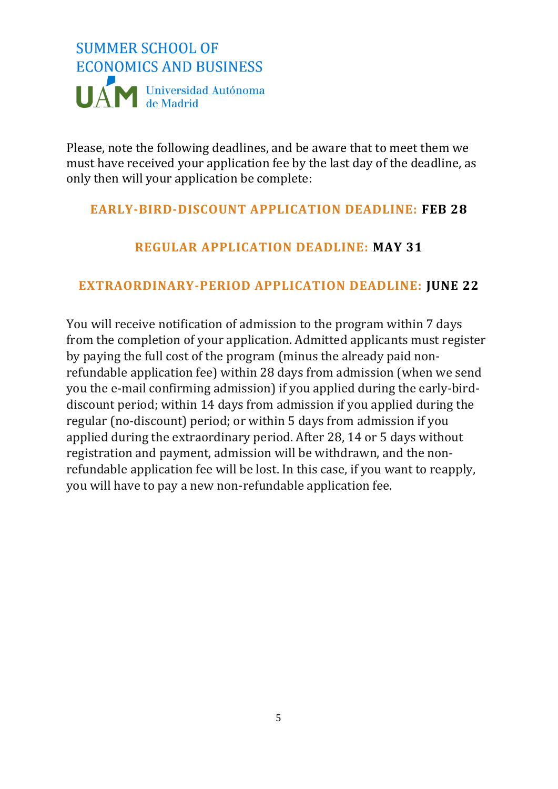

Please, note the following deadlines, and be aware that to meet them we must have received your application fee by the last day of the deadline, as only then will your application be complete:

### **EARLY-BIRD-DISCOUNT APPLICATION DEADLINE: FEB 28**

# **REGULAR APPLICATION DEADLINE: MAY 31**

### **EXTRAORDINARY-PERIOD APPLICATION DEADLINE: JUNE 22**

You will receive notification of admission to the program within 7 days from the completion of your application. Admitted applicants must register by paying the full cost of the program (minus the already paid nonrefundable application fee) within 28 days from admission (when we send you the e-mail confirming admission) if you applied during the early-birddiscount period; within 14 days from admission if you applied during the regular (no-discount) period; or within 5 days from admission if you applied during the extraordinary period. After 28, 14 or 5 days without registration and payment, admission will be withdrawn, and the nonrefundable application fee will be lost. In this case, if you want to reapply, you will have to pay a new non-refundable application fee.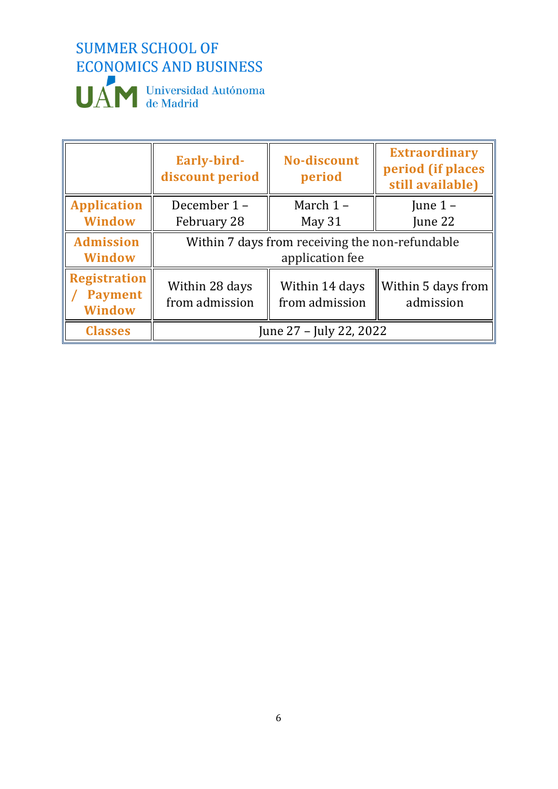

|                                                        | Early-bird-<br>discount period                  | <b>No-discount</b><br>period     | <b>Extraordinary</b><br>period (if places<br>still available) |  |
|--------------------------------------------------------|-------------------------------------------------|----------------------------------|---------------------------------------------------------------|--|
| <b>Application</b>                                     | December 1-                                     | March 1-                         | June $1 -$                                                    |  |
| <b>Window</b>                                          | February 28                                     | May 31                           | June 22                                                       |  |
| <b>Admission</b>                                       | Within 7 days from receiving the non-refundable |                                  |                                                               |  |
| <b>Window</b>                                          | application fee                                 |                                  |                                                               |  |
| <b>Registration</b><br><b>Payment</b><br><b>Window</b> | Within 28 days<br>from admission                | Within 14 days<br>from admission | Within 5 days from<br>admission                               |  |
| <b>Classes</b>                                         | June 27 – July 22, 2022                         |                                  |                                                               |  |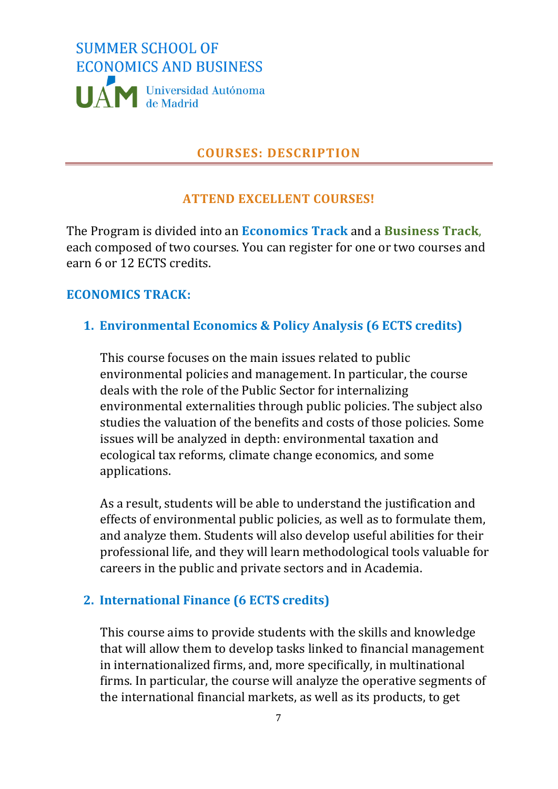

#### **COURSES: DESCRIPTION**

#### **ATTEND EXCELLENT COURSES!**

<span id="page-6-0"></span>The Program is divided into an **Economics Track** and a **Business Track**, each composed of two courses. You can register for one or two courses and earn 6 or 12 ECTS credits.

#### **ECONOMICS TRACK:**

#### **1. Environmental Economics & Policy Analysis (6 ECTS credits)**

This course focuses on the main issues related to public environmental policies and management. In particular, the course deals with the role of the Public Sector for internalizing environmental externalities through public policies. The subject also studies the valuation of the benefits and costs of those policies. Some issues will be analyzed in depth: environmental taxation and ecological tax reforms, climate change economics, and some applications.

As a result, students will be able to understand the justification and effects of environmental public policies, as well as to formulate them, and analyze them. Students will also develop useful abilities for their professional life, and they will learn methodological tools valuable for careers in the public and private sectors and in Academia.

#### **2. International Finance (6 ECTS credits)**

This course aims to provide students with the skills and knowledge that will allow them to develop tasks linked to financial management in internationalized firms, and, more specifically, in multinational firms. In particular, the course will analyze the operative segments of the international financial markets, as well as its products, to get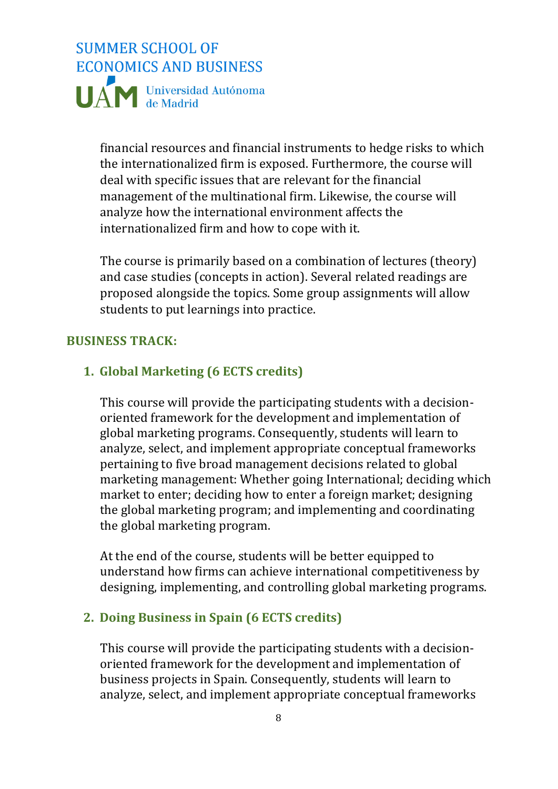# **SUMMER SCHOOL OF ECONOMICS AND BUSINESS** UAN Universidad Autónoma

financial resources and financial instruments to hedge risks to which the internationalized firm is exposed. Furthermore, the course will deal with specific issues that are relevant for the financial management of the multinational firm. Likewise, the course will analyze how the international environment affects the internationalized firm and how to cope with it.

The course is primarily based on a combination of lectures (theory) and case studies (concepts in action). Several related readings are proposed alongside the topics. Some group assignments will allow students to put learnings into practice.

#### **BUSINESS TRACK:**

#### **1. Global Marketing (6 ECTS credits)**

This course will provide the participating students with a decisionoriented framework for the development and implementation of global marketing programs. Consequently, students will learn to analyze, select, and implement appropriate conceptual frameworks pertaining to five broad management decisions related to global marketing management: Whether going International; deciding which market to enter; deciding how to enter a foreign market; designing the global marketing program; and implementing and coordinating the global marketing program.

At the end of the course, students will be better equipped to understand how firms can achieve international competitiveness by designing, implementing, and controlling global marketing programs.

#### **2. Doing Business in Spain (6 ECTS credits)**

This course will provide the participating students with a decisionoriented framework for the development and implementation of business projects in Spain. Consequently, students will learn to analyze, select, and implement appropriate conceptual frameworks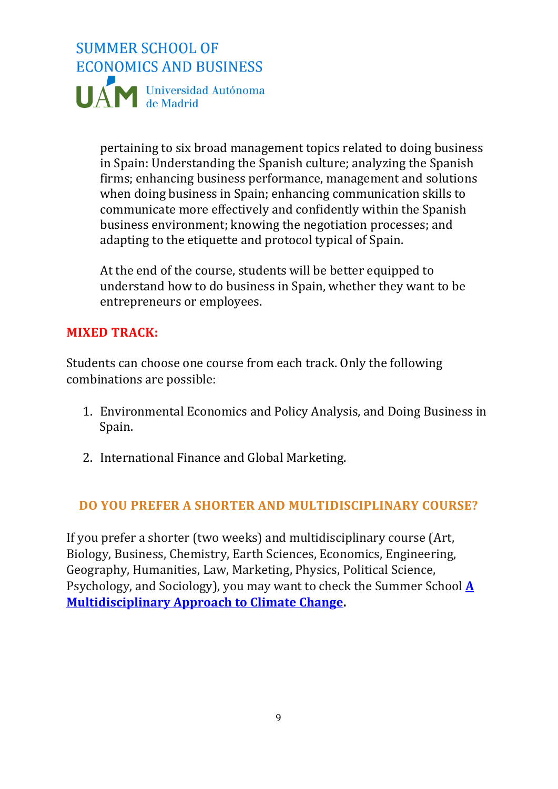

pertaining to six broad management topics related to doing business in Spain: Understanding the Spanish culture; analyzing the Spanish firms; enhancing business performance, management and solutions when doing business in Spain; enhancing communication skills to communicate more effectively and confidently within the Spanish business environment; knowing the negotiation processes; and adapting to the etiquette and protocol typical of Spain.

At the end of the course, students will be better equipped to understand how to do business in Spain, whether they want to be entrepreneurs or employees.

#### **MIXED TRACK:**

Students can choose one course from each track. Only the following combinations are possible:

- 1. Environmental Economics and Policy Analysis, and Doing Business in Spain.
- 2. International Finance and Global Marketing.

#### **DO YOU PREFER A SHORTER AND MULTIDISCIPLINARY COURSE?**

If you prefer a shorter (two weeks) and multidisciplinary course (Art, Biology, Business, Chemistry, Earth Sciences, Economics, Engineering, Geography, Humanities, Law, Marketing, Physics, Political Science, Psychology, and Sociology), you may want to check the Summer School **[A](https://climate.enveco.es/)  [Multidisciplinary Approach to Climate Change.](https://climate.enveco.es/)**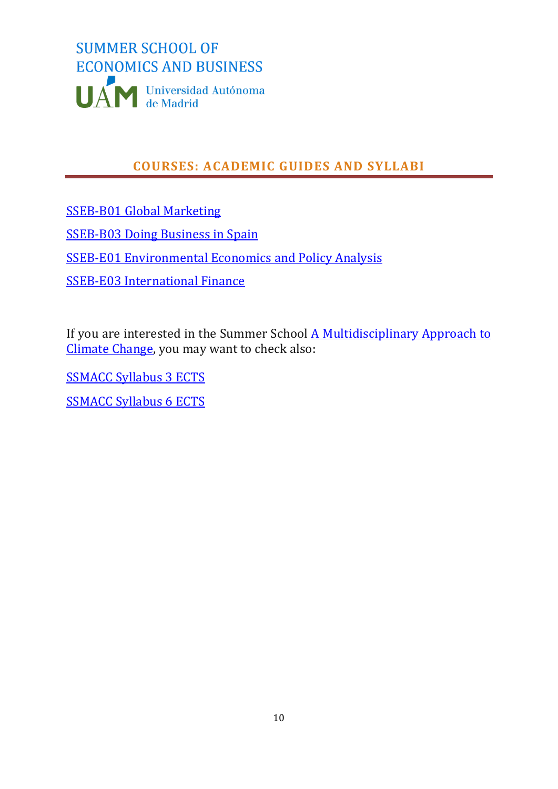

# **COURSES: ACADEMIC GUIDES AND SYLLABI**

<span id="page-9-0"></span>[SSEB-B01 Global Marketing](https://uamsseb.files.wordpress.com/2021/10/sseb-b01-global-marketing.pdf) [SSEB-B03 Doing Business in Spain](https://uamsseb.files.wordpress.com/2021/10/sseb-b03-doing-business-in-spain-1.pdf) [SSEB-E01 Environmental Economics and Policy Analysis](https://uamsseb.files.wordpress.com/2021/10/sseb-e01-environmental-economics-and-policy-analysis.pdf) 

[SSEB-E03 International Finance](https://uamsseb.files.wordpress.com/2021/10/sseb-e03-international-finance.pdf)

If you are interested in the Summer School [A Multidisciplinary Approach to](https://climate.enveco.es/)  [Climate Change,](https://climate.enveco.es/) you may want to check also:

[SSMACC Syllabus 3 ECTS](http://climate.enveco.es/wp-content/uploads/2021/11/SSMACC-Syllabus-3-ECTS-2022.pdf)

[SSMACC Syllabus 6](https://climate.enveco.es/wp-content/uploads/2021/11/SSMACC-Syllabus-6-ECTS-2022.pdf) ECTS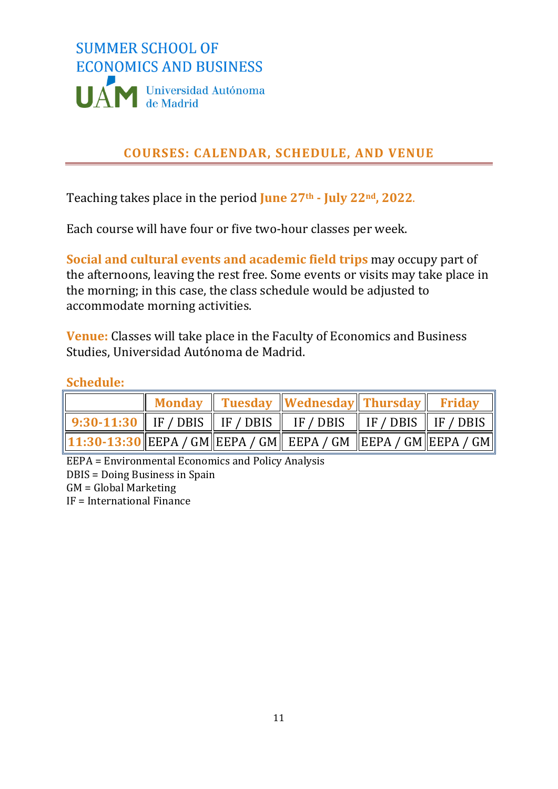

# **COURSES: CALENDAR, SCHEDULE, AND VENUE**

<span id="page-10-0"></span>Teaching takes place in the period **June 27th - July 22nd, 2022**.

Each course will have four or five two-hour classes per week.

**Social and cultural events and academic field trips** may occupy part of the afternoons, leaving the rest free. Some events or visits may take place in the morning; in this case, the class schedule would be adjusted to accommodate morning activities.

**Venue:** Classes will take place in the Faculty of Economics and Business Studies, Universidad Autónoma de Madrid.

#### **Schedule:**

|                                                                                                                                                  |  | Monday Tuesday Wednesday Thursday Friday |  |
|--------------------------------------------------------------------------------------------------------------------------------------------------|--|------------------------------------------|--|
| $\parallel$ 9:30-11:30 $\parallel$ IF / DBIS $\parallel$ IF / DBIS $\parallel$ IF / DBIS $\parallel$ IF / DBIS $\parallel$ IF / DBIS $\parallel$ |  |                                          |  |
| $\ $ 11:30-13:30 $\ $ EEPA / GM $\ $ EEPA / GM $\ $ EEPA / GM $\ $ EEPA / GM $\ $ EEPA / GM $\ $                                                 |  |                                          |  |

EEPA = Environmental Economics and Policy Analysis DBIS = Doing Business in Spain GM = Global Marketing IF = International Finance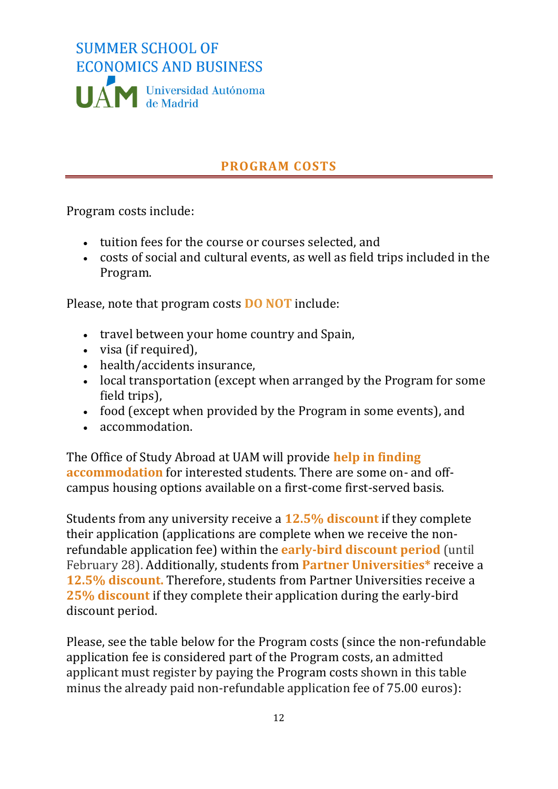

# **PROGRAM COSTS**

<span id="page-11-0"></span>Program costs include:

- tuition fees for the course or courses selected, and
- costs of social and cultural events, as well as field trips included in the Program.

Please, note that program costs **DO NOT** include:

- travel between your home country and Spain,
- visa (if required),
- health/accidents insurance,
- local transportation (except when arranged by the Program for some field trips),
- food (except when provided by the Program in some events), and
- accommodation.

The Office of Study Abroad at UAM will provide **help in finding accommodation** for interested students. There are some on- and offcampus housing options available on a first-come first-served basis.

Students from any university receive a **12.5% discount** if they complete their application (applications are complete when we receive the nonrefundable application fee) within the **early-bird discount period** (until February 28). Additionally, students from **Partner Universities\*** receive a **12.5% discount.** Therefore, students from Partner Universities receive a **25% discount** if they complete their application during the early-bird discount period.

Please, see the table below for the Program costs (since the non-refundable application fee is considered part of the Program costs, an admitted applicant must register by paying the Program costs shown in this table minus the already paid non-refundable application fee of 75.00 euros):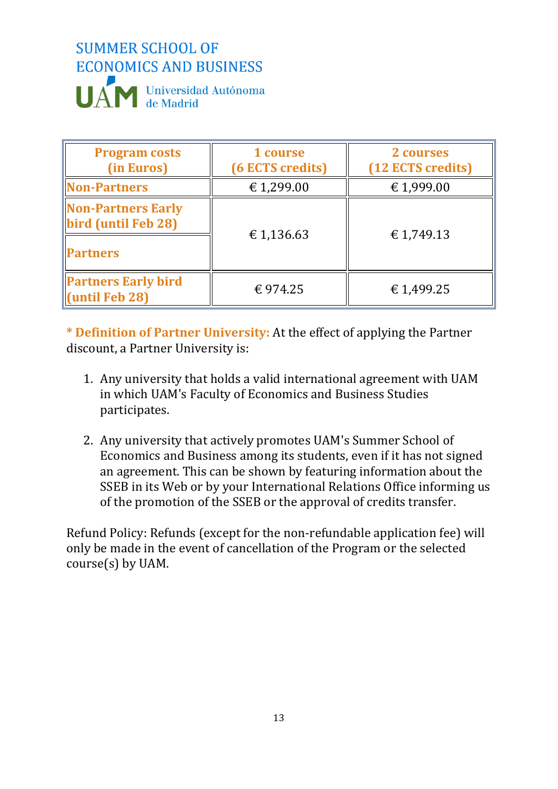

| <b>Program costs</b><br>(in Euros)                                  | 1 course<br>(6 ECTS credits) | 2 courses<br>(12 ECTS credits) |
|---------------------------------------------------------------------|------------------------------|--------------------------------|
| <b>Non-Partners</b>                                                 | €1,299.00                    | €1,999.00                      |
| <b>Non-Partners Early</b><br>bird (until Feb 28)<br><b>Partners</b> | € 1,136.63                   | €1,749.13                      |
| <b>Partners Early bird</b><br>$\left\vert$ (until Feb 28)           | € 974.25                     | €1,499.25                      |

**\* Definition of Partner University:** At the effect of applying the Partner discount, a Partner University is:

- 1. Any university that holds a valid international agreement with UAM in which UAM's Faculty of Economics and Business Studies participates.
- 2. Any university that actively promotes UAM's Summer School of Economics and Business among its students, even if it has not signed an agreement. This can be shown by featuring information about the SSEB in its Web or by your International Relations Office informing us of the promotion of the SSEB or the approval of credits transfer.

Refund Policy: Refunds (except for the non-refundable application fee) will only be made in the event of cancellation of the Program or the selected course(s) by UAM.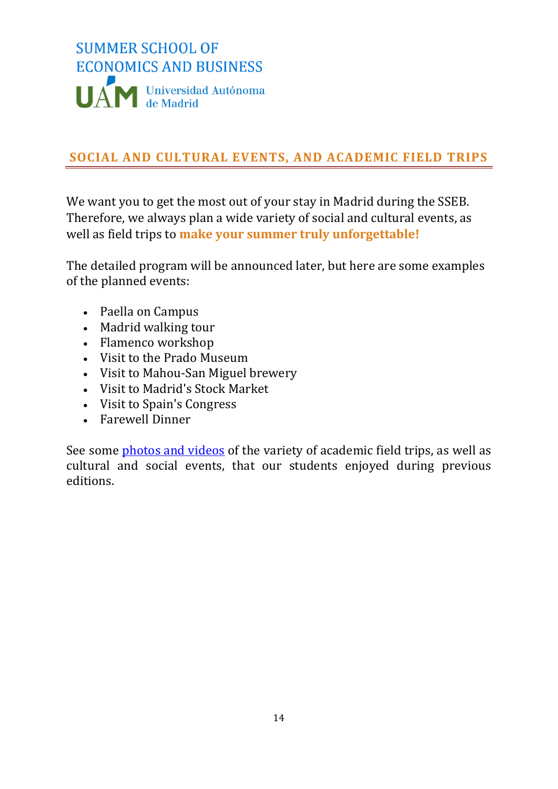

# <span id="page-13-0"></span>**SOCIAL AND CULTURAL EVENTS, AND ACADEMIC FIELD TRIPS**

We want you to get the most out of your stay in Madrid during the SSEB. Therefore, we always plan a wide variety of social and cultural events, as well as field trips to **make your summer truly unforgettable!**

The detailed program will be announced later, but here are some examples of the planned events:

- Paella on Campus
- Madrid walking tour
- Flamenco workshop
- Visit to the Prado Museum
- Visit to Mahou-San Miguel brewery
- Visit to Madrid's Stock Market
- Visit to Spain's Congress
- Farewell Dinner

See some [photos and videos](https://uamsseb.education/events-program/) of the variety of academic field trips, as well as cultural and social events, that our students enjoyed during previous editions.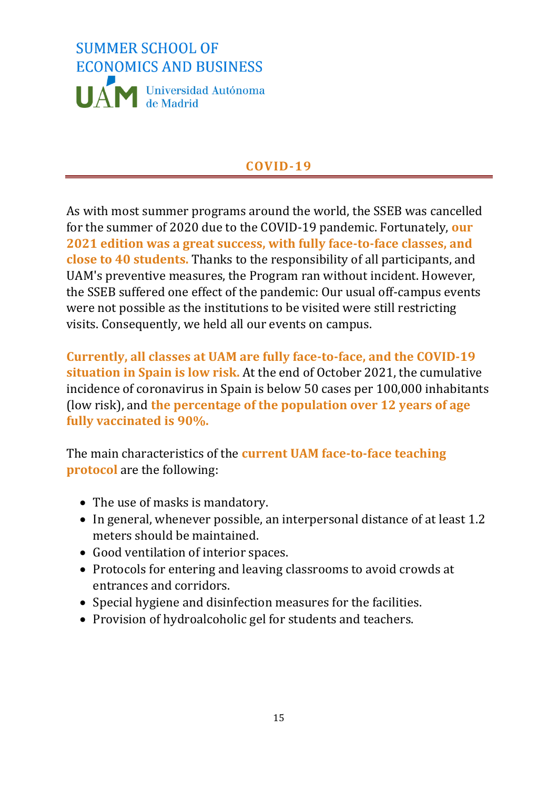

# **COVID-19**

<span id="page-14-0"></span>As with most summer programs around the world, the SSEB was cancelled for the summer of 2020 due to the COVID-19 pandemic. Fortunately, **our 2021 edition was a great success, with fully face-to-face classes, and close to 40 students.** Thanks to the responsibility of all participants, and UAM's preventive measures, the Program ran without incident. However, the SSEB suffered one effect of the pandemic: Our usual off-campus events were not possible as the institutions to be visited were still restricting visits. Consequently, we held all our events on campus.

**Currently, all classes at UAM are fully face-to-face, and the COVID-19 situation in Spain is low risk.** At the end of October 2021, the cumulative incidence of coronavirus in Spain is below 50 cases per 100,000 inhabitants (low risk), and **the percentage of the population over 12 years of age fully vaccinated is 90%.**

The main characteristics of the **current UAM face-to-face teaching protocol** are the following:

- The use of masks is mandatory.
- In general, whenever possible, an interpersonal distance of at least 1.2 meters should be maintained.
- Good ventilation of interior spaces.
- Protocols for entering and leaving classrooms to avoid crowds at entrances and corridors.
- Special hygiene and disinfection measures for the facilities.
- Provision of hydroalcoholic gel for students and teachers.